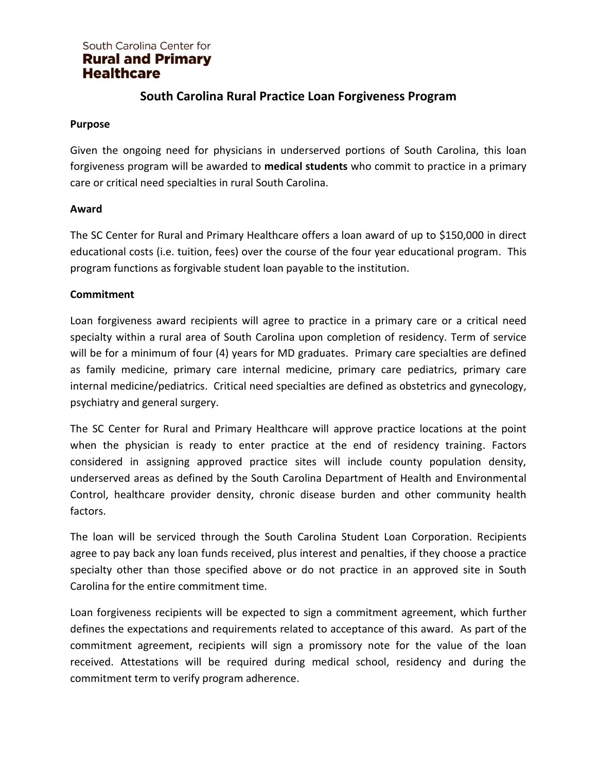# **South Carolina Rural Practice Loan Forgiveness Program**

#### **Purpose**

Given the ongoing need for physicians in underserved portions of South Carolina, this loan forgiveness program will be awarded to **medical students** who commit to practice in a primary care or critical need specialties in rural South Carolina.

### **Award**

The SC Center for Rural and Primary Healthcare offers a loan award of up to \$150,000 in direct educational costs (i.e. tuition, fees) over the course of the four year educational program. This program functions as forgivable student loan payable to the institution.

#### **Commitment**

Loan forgiveness award recipients will agree to practice in a primary care or a critical need specialty within a rural area of South Carolina upon completion of residency. Term of service will be for a minimum of four (4) years for MD graduates. Primary care specialties are defined as family medicine, primary care internal medicine, primary care pediatrics, primary care internal medicine/pediatrics. Critical need specialties are defined as obstetrics and gynecology, psychiatry and general surgery.

The SC Center for Rural and Primary Healthcare will approve practice locations at the point when the physician is ready to enter practice at the end of residency training. Factors considered in assigning approved practice sites will include county population density, underserved areas as defined by the South Carolina Department of Health and Environmental Control, healthcare provider density, chronic disease burden and other community health factors.

The loan will be serviced through the South Carolina Student Loan Corporation. Recipients agree to pay back any loan funds received, plus interest and penalties, if they choose a practice specialty other than those specified above or do not practice in an approved site in South Carolina for the entire commitment time.

Loan forgiveness recipients will be expected to sign a commitment agreement, which further defines the expectations and requirements related to acceptance of this award. As part of the commitment agreement, recipients will sign a promissory note for the value of the loan received. Attestations will be required during medical school, residency and during the commitment term to verify program adherence.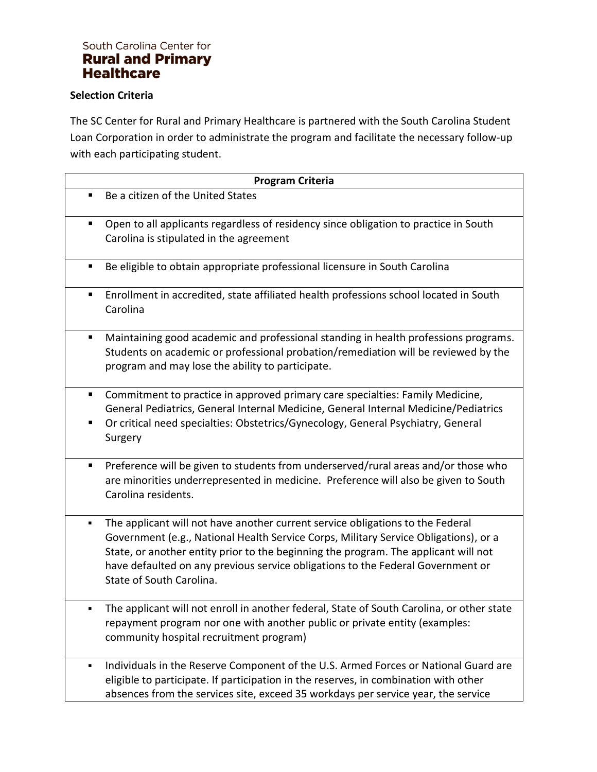#### **Selection Criteria**

The SC Center for Rural and Primary Healthcare is partnered with the South Carolina Student Loan Corporation in order to administrate the program and facilitate the necessary follow-up with each participating student.

|   | <b>Program Criteria</b>                                                                                                                                                                                                                                                                                                                                                      |
|---|------------------------------------------------------------------------------------------------------------------------------------------------------------------------------------------------------------------------------------------------------------------------------------------------------------------------------------------------------------------------------|
| П | Be a citizen of the United States                                                                                                                                                                                                                                                                                                                                            |
| п | Open to all applicants regardless of residency since obligation to practice in South<br>Carolina is stipulated in the agreement                                                                                                                                                                                                                                              |
| п | Be eligible to obtain appropriate professional licensure in South Carolina                                                                                                                                                                                                                                                                                                   |
| п | Enrollment in accredited, state affiliated health professions school located in South<br>Carolina                                                                                                                                                                                                                                                                            |
|   | Maintaining good academic and professional standing in health professions programs.<br>Students on academic or professional probation/remediation will be reviewed by the<br>program and may lose the ability to participate.                                                                                                                                                |
| п | Commitment to practice in approved primary care specialties: Family Medicine,<br>General Pediatrics, General Internal Medicine, General Internal Medicine/Pediatrics<br>Or critical need specialties: Obstetrics/Gynecology, General Psychiatry, General<br>Surgery                                                                                                          |
| п | Preference will be given to students from underserved/rural areas and/or those who<br>are minorities underrepresented in medicine. Preference will also be given to South<br>Carolina residents.                                                                                                                                                                             |
| ٠ | The applicant will not have another current service obligations to the Federal<br>Government (e.g., National Health Service Corps, Military Service Obligations), or a<br>State, or another entity prior to the beginning the program. The applicant will not<br>have defaulted on any previous service obligations to the Federal Government or<br>State of South Carolina. |
|   | The applicant will not enroll in another federal, State of South Carolina, or other state<br>repayment program nor one with another public or private entity (examples:<br>community hospital recruitment program)                                                                                                                                                           |
| ٠ | Individuals in the Reserve Component of the U.S. Armed Forces or National Guard are<br>eligible to participate. If participation in the reserves, in combination with other<br>absences from the services site, exceed 35 workdays per service year, the service                                                                                                             |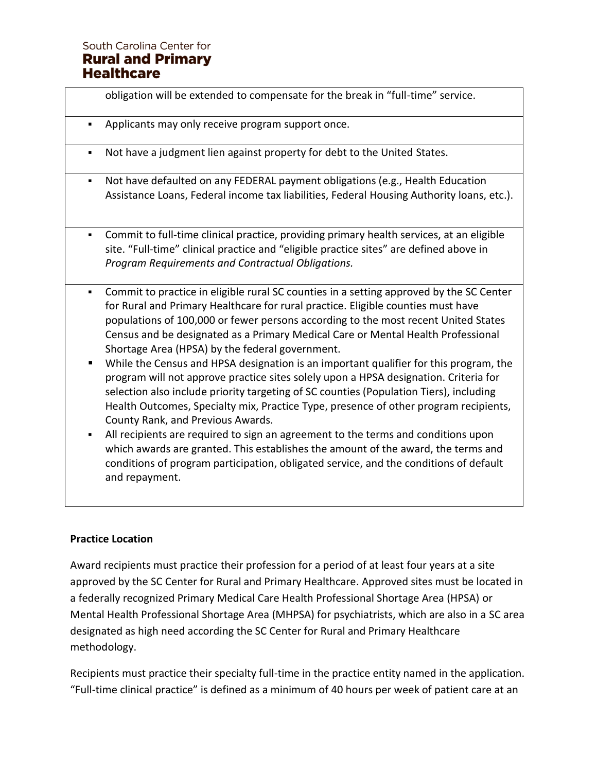|        | obligation will be extended to compensate for the break in "full-time" service.                                                                                                                                                                                                                                                                                                                                                                                                                                                                                                                                                                                                                                                                                                                                  |
|--------|------------------------------------------------------------------------------------------------------------------------------------------------------------------------------------------------------------------------------------------------------------------------------------------------------------------------------------------------------------------------------------------------------------------------------------------------------------------------------------------------------------------------------------------------------------------------------------------------------------------------------------------------------------------------------------------------------------------------------------------------------------------------------------------------------------------|
| ٠      | Applicants may only receive program support once.                                                                                                                                                                                                                                                                                                                                                                                                                                                                                                                                                                                                                                                                                                                                                                |
| ٠      | Not have a judgment lien against property for debt to the United States.                                                                                                                                                                                                                                                                                                                                                                                                                                                                                                                                                                                                                                                                                                                                         |
| ٠      | Not have defaulted on any FEDERAL payment obligations (e.g., Health Education<br>Assistance Loans, Federal income tax liabilities, Federal Housing Authority loans, etc.).                                                                                                                                                                                                                                                                                                                                                                                                                                                                                                                                                                                                                                       |
| ٠      | Commit to full-time clinical practice, providing primary health services, at an eligible<br>site. "Full-time" clinical practice and "eligible practice sites" are defined above in<br>Program Requirements and Contractual Obligations.                                                                                                                                                                                                                                                                                                                                                                                                                                                                                                                                                                          |
| ٠<br>٠ | Commit to practice in eligible rural SC counties in a setting approved by the SC Center<br>for Rural and Primary Healthcare for rural practice. Eligible counties must have<br>populations of 100,000 or fewer persons according to the most recent United States<br>Census and be designated as a Primary Medical Care or Mental Health Professional<br>Shortage Area (HPSA) by the federal government.<br>While the Census and HPSA designation is an important qualifier for this program, the<br>program will not approve practice sites solely upon a HPSA designation. Criteria for<br>selection also include priority targeting of SC counties (Population Tiers), including<br>Health Outcomes, Specialty mix, Practice Type, presence of other program recipients,<br>County Rank, and Previous Awards. |

▪ All recipients are required to sign an agreement to the terms and conditions upon which awards are granted. This establishes the amount of the award, the terms and conditions of program participation, obligated service, and the conditions of default and repayment.

### **Practice Location**

Award recipients must practice their profession for a period of at least four years at a site approved by the SC Center for Rural and Primary Healthcare. Approved sites must be located in a federally recognized Primary Medical Care Health Professional Shortage Area (HPSA) or Mental Health Professional Shortage Area (MHPSA) for psychiatrists, which are also in a SC area designated as high need according the SC Center for Rural and Primary Healthcare methodology.

Recipients must practice their specialty full-time in the practice entity named in the application. "Full-time clinical practice" is defined as a minimum of 40 hours per week of patient care at an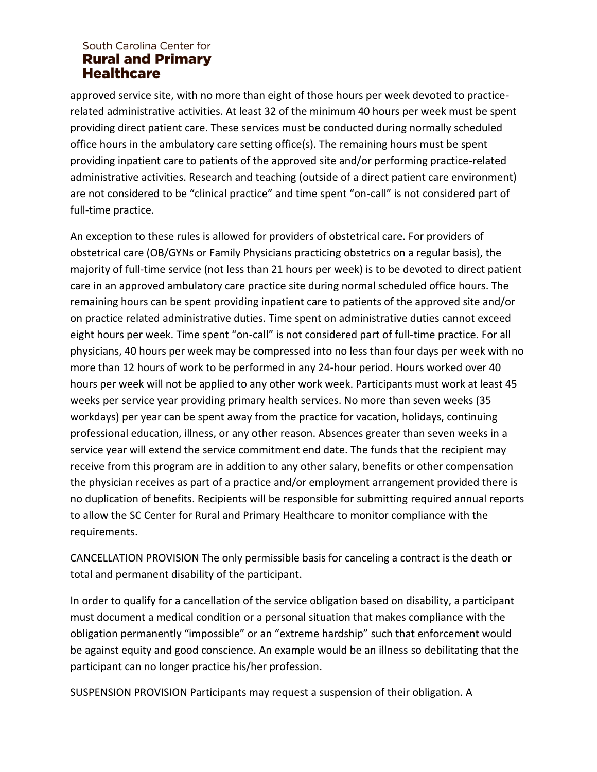approved service site, with no more than eight of those hours per week devoted to practicerelated administrative activities. At least 32 of the minimum 40 hours per week must be spent providing direct patient care. These services must be conducted during normally scheduled office hours in the ambulatory care setting office(s). The remaining hours must be spent providing inpatient care to patients of the approved site and/or performing practice-related administrative activities. Research and teaching (outside of a direct patient care environment) are not considered to be "clinical practice" and time spent "on-call" is not considered part of full-time practice.

An exception to these rules is allowed for providers of obstetrical care. For providers of obstetrical care (OB/GYNs or Family Physicians practicing obstetrics on a regular basis), the majority of full-time service (not less than 21 hours per week) is to be devoted to direct patient care in an approved ambulatory care practice site during normal scheduled office hours. The remaining hours can be spent providing inpatient care to patients of the approved site and/or on practice related administrative duties. Time spent on administrative duties cannot exceed eight hours per week. Time spent "on-call" is not considered part of full-time practice. For all physicians, 40 hours per week may be compressed into no less than four days per week with no more than 12 hours of work to be performed in any 24-hour period. Hours worked over 40 hours per week will not be applied to any other work week. Participants must work at least 45 weeks per service year providing primary health services. No more than seven weeks (35 workdays) per year can be spent away from the practice for vacation, holidays, continuing professional education, illness, or any other reason. Absences greater than seven weeks in a service year will extend the service commitment end date. The funds that the recipient may receive from this program are in addition to any other salary, benefits or other compensation the physician receives as part of a practice and/or employment arrangement provided there is no duplication of benefits. Recipients will be responsible for submitting required annual reports to allow the SC Center for Rural and Primary Healthcare to monitor compliance with the requirements.

CANCELLATION PROVISION The only permissible basis for canceling a contract is the death or total and permanent disability of the participant.

In order to qualify for a cancellation of the service obligation based on disability, a participant must document a medical condition or a personal situation that makes compliance with the obligation permanently "impossible" or an "extreme hardship" such that enforcement would be against equity and good conscience. An example would be an illness so debilitating that the participant can no longer practice his/her profession.

SUSPENSION PROVISION Participants may request a suspension of their obligation. A